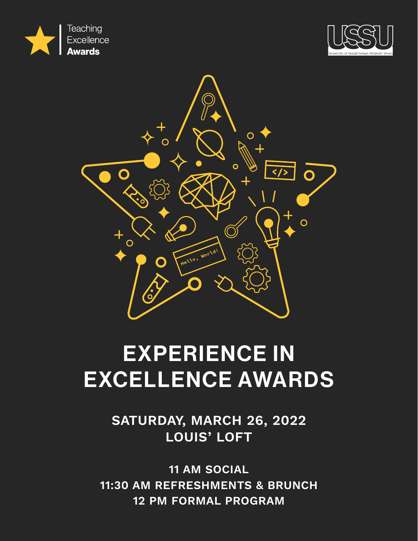





# EXPERIENCE IN EXCELLENCE AWARDS

**SATURDAY, MARCH 26, 2022 LOUIS' LOFT**

**11 AM SOCIAL 11:30 AM REFRESHMENTS & BRUNCH 12 PM FORMAL PROGRAM**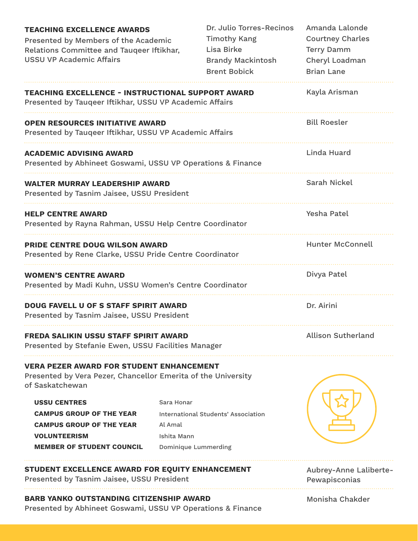| <b>TEACHING EXCELLENCE AWARDS</b><br>Presented by Members of the Academic<br>Relations Committee and Tauqeer Iftikhar,<br><b>USSU VP Academic Affairs</b> |                                      | Dr. Julio Torres-Recinos<br><b>Timothy Kang</b><br>Lisa Birke<br><b>Brandy Mackintosh</b><br><b>Brent Bobick</b> | Amanda Lalonde<br><b>Courtney Charles</b><br><b>Terry Damm</b><br>Cheryl Loadman<br><b>Brian Lane</b> |
|-----------------------------------------------------------------------------------------------------------------------------------------------------------|--------------------------------------|------------------------------------------------------------------------------------------------------------------|-------------------------------------------------------------------------------------------------------|
| <b>TEACHING EXCELLENCE - INSTRUCTIONAL SUPPORT AWARD</b><br>Presented by Tauqeer Iftikhar, USSU VP Academic Affairs                                       |                                      |                                                                                                                  | Kayla Arisman                                                                                         |
| <b>OPEN RESOURCES INITIATIVE AWARD</b><br>Presented by Tauqeer Iftikhar, USSU VP Academic Affairs                                                         |                                      |                                                                                                                  | <b>Bill Roesler</b>                                                                                   |
| <b>ACADEMIC ADVISING AWARD</b><br>Presented by Abhineet Goswami, USSU VP Operations & Finance                                                             |                                      |                                                                                                                  | Linda Huard                                                                                           |
| <b>WALTER MURRAY LEADERSHIP AWARD</b><br>Presented by Tasnim Jaisee, USSU President                                                                       |                                      |                                                                                                                  | Sarah Nickel                                                                                          |
| <b>HELP CENTRE AWARD</b><br>Presented by Rayna Rahman, USSU Help Centre Coordinator                                                                       |                                      |                                                                                                                  | Yesha Patel                                                                                           |
| <b>PRIDE CENTRE DOUG WILSON AWARD</b><br>Presented by Rene Clarke, USSU Pride Centre Coordinator                                                          |                                      |                                                                                                                  | <b>Hunter McConnell</b>                                                                               |
| <b>WOMEN'S CENTRE AWARD</b><br>Presented by Madi Kuhn, USSU Women's Centre Coordinator                                                                    |                                      |                                                                                                                  | Divya Patel                                                                                           |
| <b>DOUG FAVELL U OF S STAFF SPIRIT AWARD</b><br>Presented by Tasnim Jaisee, USSU President                                                                |                                      |                                                                                                                  | Dr. Airini                                                                                            |
| <b>FREDA SALIKIN USSU STAFF SPIRIT AWARD</b><br>Presented by Stefanie Ewen, USSU Facilities Manager                                                       |                                      |                                                                                                                  | <b>Allison Sutherland</b>                                                                             |
| <b>VERA PEZER AWARD FOR STUDENT ENHANCEMENT</b><br>Presented by Vera Pezer, Chancellor Emerita of the University<br>of Saskatchewan                       |                                      |                                                                                                                  |                                                                                                       |
| <b>USSU CENTRES</b><br><b>CAMPUS GROUP OF THE YEAR</b><br><b>CAMPUS GROUP OF THE YEAR</b><br><b>VOLUNTEERISM</b>                                          | Sara Honar<br>Al Amal<br>Ishita Mann | International Students' Association                                                                              |                                                                                                       |
| <b>MEMBER OF STUDENT COUNCIL</b>                                                                                                                          | <b>Dominique Lummerding</b>          |                                                                                                                  |                                                                                                       |
| STUDENT EXCELLENCE AWARD FOR EQUITY ENHANCEMENT<br>Presented by Tasnim Jaisee, USSU President                                                             |                                      |                                                                                                                  | Aubrey-Anne Laliberte-<br>Pewapisconias                                                               |
| <b>BARB YANKO OUTSTANDING CITIZENSHIP AWARD</b><br>Presented by Abhineet Goswami, USSU VP Operations & Finance                                            |                                      |                                                                                                                  | Monisha Chakder                                                                                       |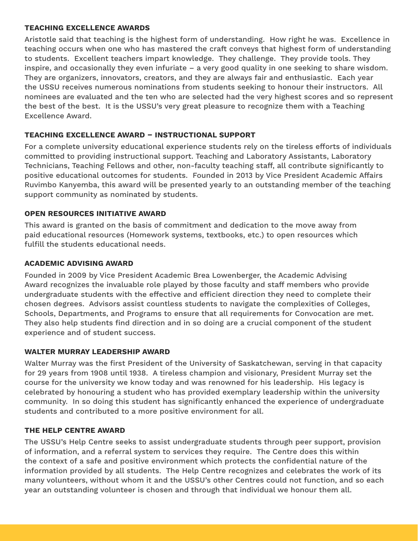#### **TEACHING EXCELLENCE AWARDS**

Aristotle said that teaching is the highest form of understanding. How right he was. Excellence in teaching occurs when one who has mastered the craft conveys that highest form of understanding to students. Excellent teachers impart knowledge. They challenge. They provide tools. They inspire, and occasionally they even infuriate – a very good quality in one seeking to share wisdom. They are organizers, innovators, creators, and they are always fair and enthusiastic. Each year the USSU receives numerous nominations from students seeking to honour their instructors. All nominees are evaluated and the ten who are selected had the very highest scores and so represent the best of the best. It is the USSU's very great pleasure to recognize them with a Teaching Excellence Award.

# **TEACHING EXCELLENCE AWARD – INSTRUCTIONAL SUPPORT**

For a complete university educational experience students rely on the tireless efforts of individuals committed to providing instructional support. Teaching and Laboratory Assistants, Laboratory Technicians, Teaching Fellows and other, non-faculty teaching staff, all contribute significantly to positive educational outcomes for students. Founded in 2013 by Vice President Academic Affairs Ruvimbo Kanyemba, this award will be presented yearly to an outstanding member of the teaching support community as nominated by students.

# **OPEN RESOURCES INITIATIVE AWARD**

This award is granted on the basis of commitment and dedication to the move away from paid educational resources (Homework systems, textbooks, etc.) to open resources which fulfill the students educational needs.

## **ACADEMIC ADVISING AWARD**

Founded in 2009 by Vice President Academic Brea Lowenberger, the Academic Advising Award recognizes the invaluable role played by those faculty and staff members who provide undergraduate students with the effective and efficient direction they need to complete their chosen degrees. Advisors assist countless students to navigate the complexities of Colleges, Schools, Departments, and Programs to ensure that all requirements for Convocation are met. They also help students find direction and in so doing are a crucial component of the student experience and of student success.

## **WALTER MURRAY LEADERSHIP AWARD**

Walter Murray was the first President of the University of Saskatchewan, serving in that capacity for 29 years from 1908 until 1938. A tireless champion and visionary, President Murray set the course for the university we know today and was renowned for his leadership. His legacy is celebrated by honouring a student who has provided exemplary leadership within the university community. In so doing this student has significantly enhanced the experience of undergraduate students and contributed to a more positive environment for all.

## **THE HELP CENTRE AWARD**

The USSU's Help Centre seeks to assist undergraduate students through peer support, provision of information, and a referral system to services they require. The Centre does this within the context of a safe and positive environment which protects the confidential nature of the information provided by all students. The Help Centre recognizes and celebrates the work of its many volunteers, without whom it and the USSU's other Centres could not function, and so each year an outstanding volunteer is chosen and through that individual we honour them all.